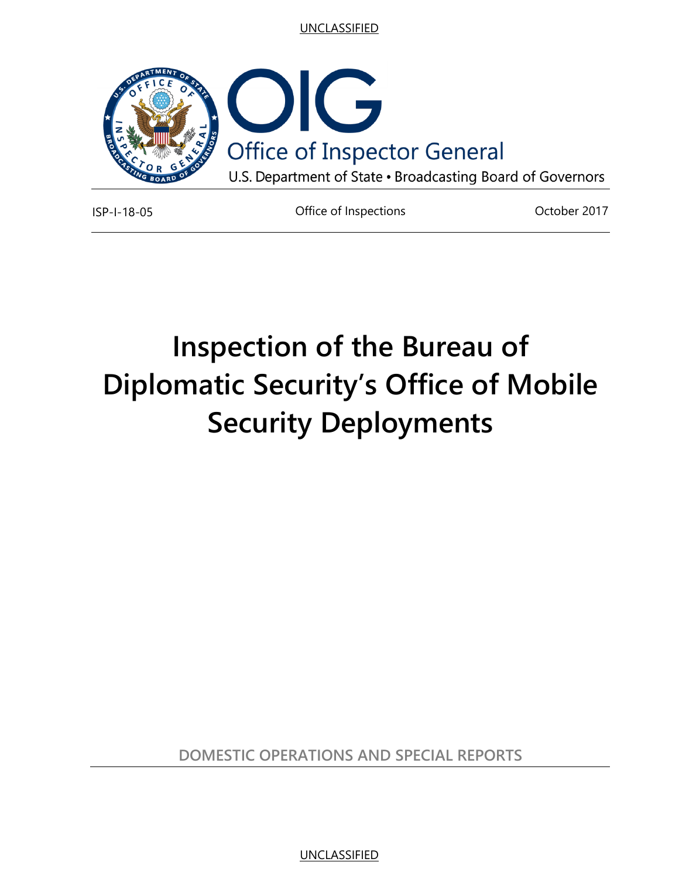

ISP-I-18-05 Office of Inspections October 2017

# **Inspection of the Bureau of Diplomatic Security's Office of Mobile Security Deployments**

**DOMESTIC OPERATIONS AND SPECIAL REPORTS**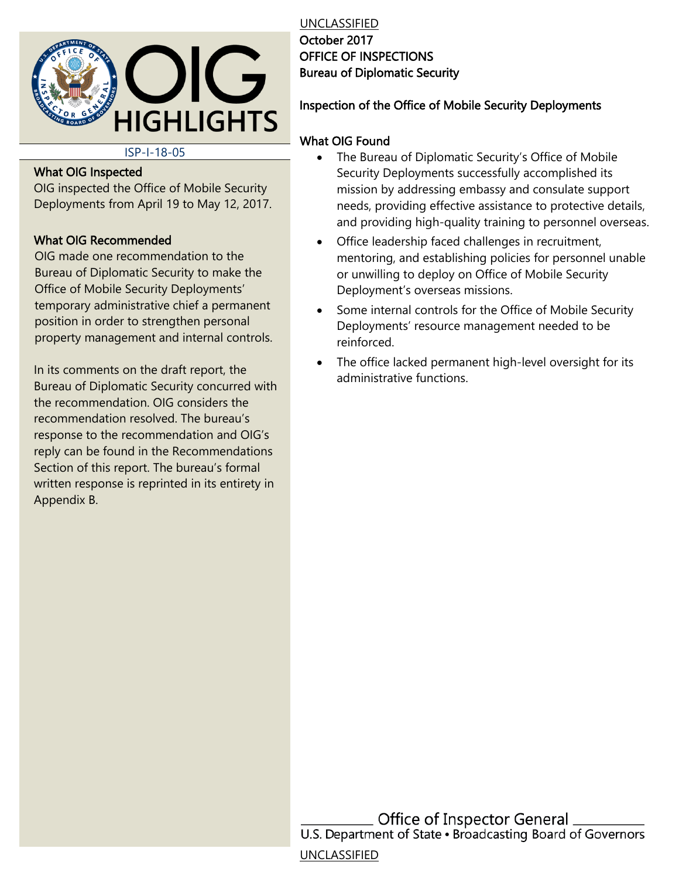

UNCLASSIFIED October 2017 OFFICE OF INSPECTIONS Bureau of Diplomatic Security

#### Inspection of the Office of Mobile Security Deployments

#### ISP-I-18-05

#### What OIG Inspected

OIG inspected the Office of Mobile Security Deployments from April 19 to May 12, 2017.

#### What OIG Recommended

OIG made one recommendation to the Bureau of Diplomatic Security to make the Office of Mobile Security Deployments' temporary administrative chief a permanent position in order to strengthen personal property management and internal controls.

In its comments on the draft report, the Bureau of Diplomatic Security concurred with the recommendation. OIG considers the recommendation resolved. The bureau's response to the recommendation and OIG's reply can be found in the Recommendations Section of this report. The bureau's formal written response is reprinted in its entirety in Appendix B.

#### What OIG Found

- $\bullet$ The Bureau of Diplomatic Security's Office of Mobile Security Deployments successfully accomplished its mission by addressing embassy and consulate support needs, providing effective assistance to protective details, and providing high-quality training to personnel overseas.
- Office leadership faced challenges in recruitment, mentoring, and establishing policies for personnel unable or unwilling to deploy on Office of Mobile Security Deployment's overseas missions.
- Some internal controls for the Office of Mobile Security Deployments' resource management needed to be reinforced.
- The office lacked permanent high-level oversight for its administrative functions.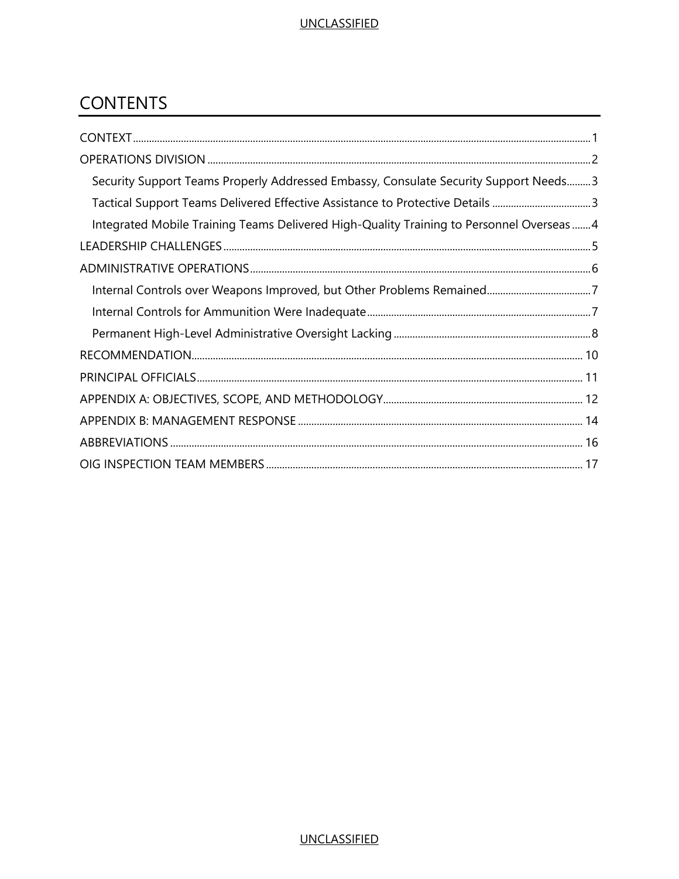### **CONTENTS**

| Security Support Teams Properly Addressed Embassy, Consulate Security Support Needs 3    |
|------------------------------------------------------------------------------------------|
| Tactical Support Teams Delivered Effective Assistance to Protective Details 3            |
| Integrated Mobile Training Teams Delivered High-Quality Training to Personnel Overseas 4 |
|                                                                                          |
|                                                                                          |
|                                                                                          |
|                                                                                          |
|                                                                                          |
|                                                                                          |
|                                                                                          |
|                                                                                          |
|                                                                                          |
|                                                                                          |
|                                                                                          |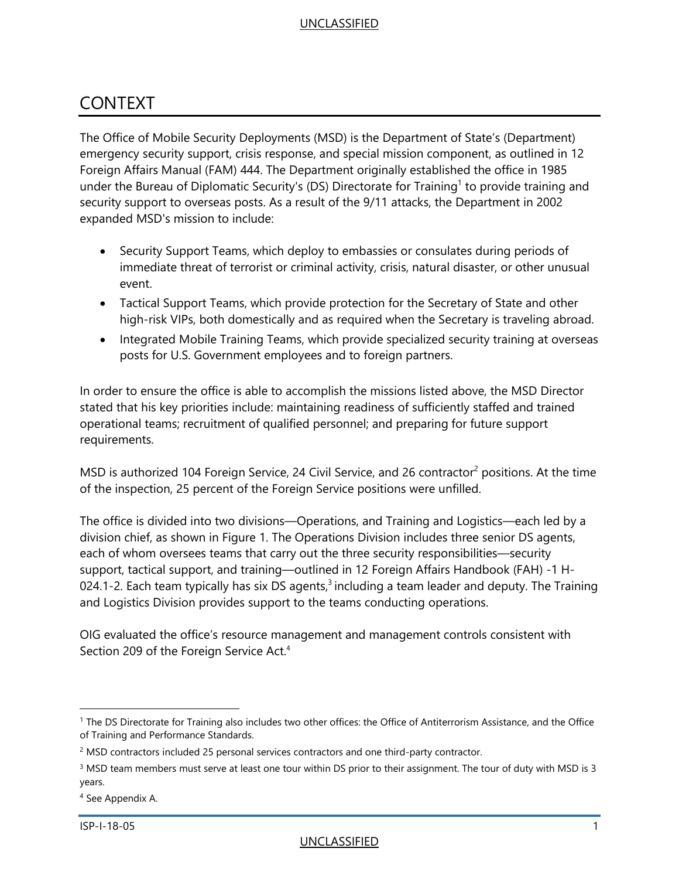### <span id="page-3-0"></span>CONTEXT

The Office of Mobile Security Deployments (MSD) is the Department of State's (Department) emergency security support, crisis response, and special mission component, as outlined in 12 Foreign Affairs Manual (FAM) 444. The Department originally established the office in 1985 under the Bureau of Diplomatic Security's (DS) Directorate for Training<sup>1</sup> to provide training and security support to overseas posts. As a result of the 9/11 attacks, the Department in 2002 expanded MSD's mission to include:

- Security Support Teams, which deploy to embassies or consulates during periods of immediate threat of terrorist or criminal activity, crisis, natural disaster, or other unusual event.
- Tactical Support Teams, which provide protection for the Secretary of State and other high-risk VIPs, both domestically and as required when the Secretary is traveling abroad.
- Integrated Mobile Training Teams, which provide specialized security training at overseas posts for U.S. Government employees and to foreign partners.

In order to ensure the office is able to accomplish the missions listed above, the MSD Director stated that his key priorities include: maintaining readiness of sufficiently staffed and trained operational teams; recruitment of qualified personnel; and preparing for future support requirements.

MSD is authorized 104 Foreign Service, 24 Civil Service, and 26 contractor<sup>2</sup> positions. At the time of the inspection, 25 percent of the Foreign Service positions were unfilled.

The office is divided into two divisions—Operations, and Training and Logistics—each led by a division chief, as shown in Figure 1. The Operations Division includes three senior DS agents, each of whom oversees teams that carry out the three security responsibilities—security support, tactical support, and training—outlined in 12 Foreign Affairs Handbook (FAH) -1 H-024.1-2. Each team typically has six DS agents, $3$  including a team leader and deputy. The Training and Logistics Division provides support to the teams conducting operations.

OIG evaluated the office's resource management and management controls consistent with Section 209 of the Foreign Service Act.<sup>4</sup>

<sup>&</sup>lt;sup>1</sup> The DS Directorate for Training also includes two other offices: the Office of Antiterrorism Assistance, and the Office of Training and Performance Standards.

<sup>&</sup>lt;sup>2</sup> MSD contractors included 25 personal services contractors and one third-party contractor.

 $3$  MSD team members must serve at least one tour within DS prior to their assignment. The tour of duty with MSD is 3 years.

<sup>4</sup> See Appendix A.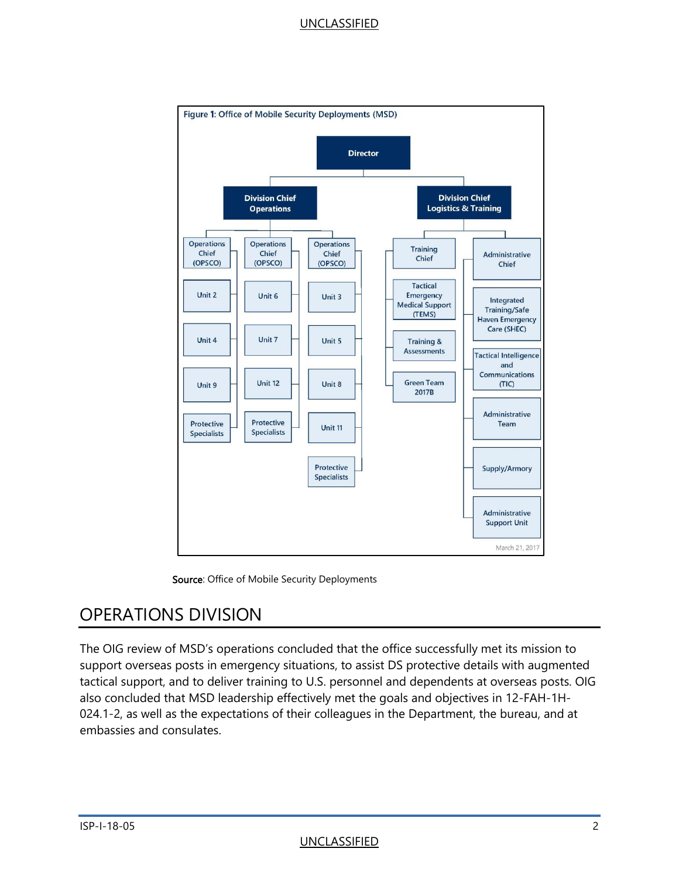



### <span id="page-4-0"></span>OPERATIONS DIVISION

The OIG review of MSD's operations concluded that the office successfully met its mission to support overseas posts in emergency situations, to assist DS protective details with augmented tactical support, and to deliver training to U.S. personnel and dependents at overseas posts. OIG also concluded that MSD leadership effectively met the goals and objectives in 12-FAH-1H-024.1-2, as well as the expectations of their colleagues in the Department, the bureau, and at embassies and consulates.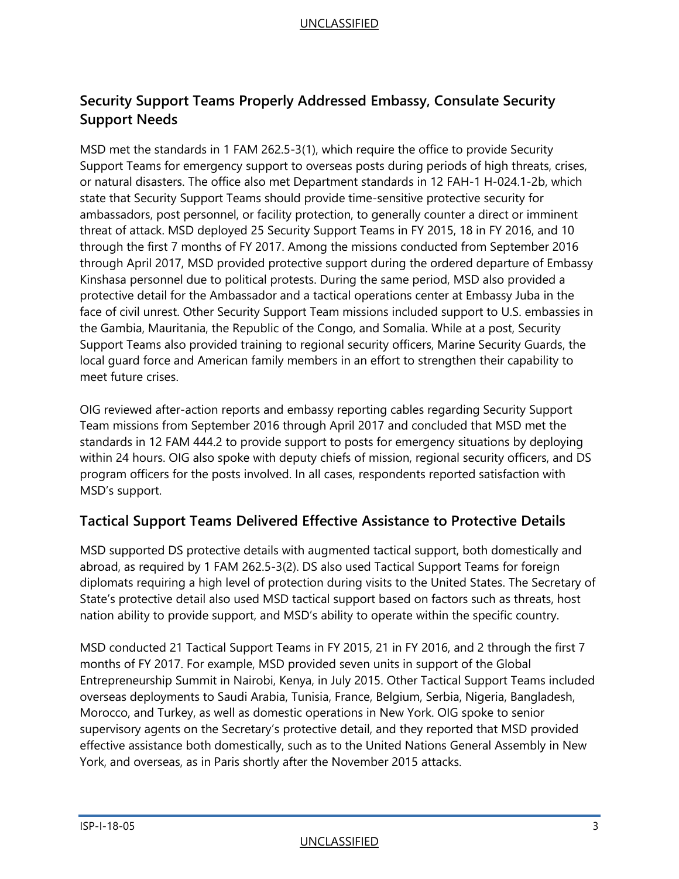#### <span id="page-5-0"></span>**Security Support Teams Properly Addressed Embassy, Consulate Security Support Needs**

MSD met the standards in 1 FAM 262.5-3(1), which require the office to provide Security Support Teams for emergency support to overseas posts during periods of high threats, crises, or natural disasters. The office also met Department standards in 12 FAH-1 H-024.1-2b, which state that Security Support Teams should provide time-sensitive protective security for ambassadors, post personnel, or facility protection, to generally counter a direct or imminent threat of attack. MSD deployed 25 Security Support Teams in FY 2015, 18 in FY 2016, and 10 through the first 7 months of FY 2017. Among the missions conducted from September 2016 through April 2017, MSD provided protective support during the ordered departure of Embassy Kinshasa personnel due to political protests. During the same period, MSD also provided a protective detail for the Ambassador and a tactical operations center at Embassy Juba in the face of civil unrest. Other Security Support Team missions included support to U.S. embassies in the Gambia, Mauritania, the Republic of the Congo, and Somalia. While at a post, Security Support Teams also provided training to regional security officers, Marine Security Guards, the local guard force and American family members in an effort to strengthen their capability to meet future crises.

OIG reviewed after-action reports and embassy reporting cables regarding Security Support Team missions from September 2016 through April 2017 and concluded that MSD met the standards in 12 FAM 444.2 to provide support to posts for emergency situations by deploying within 24 hours. OIG also spoke with deputy chiefs of mission, regional security officers, and DS program officers for the posts involved. In all cases, respondents reported satisfaction with MSD's support.

#### <span id="page-5-1"></span>**Tactical Support Teams Delivered Effective Assistance to Protective Details**

MSD supported DS protective details with augmented tactical support, both domestically and abroad, as required by 1 FAM 262.5-3(2). DS also used Tactical Support Teams for foreign diplomats requiring a high level of protection during visits to the United States. The Secretary of State's protective detail also used MSD tactical support based on factors such as threats, host nation ability to provide support, and MSD's ability to operate within the specific country.

MSD conducted 21 Tactical Support Teams in FY 2015, 21 in FY 2016, and 2 through the first 7 months of FY 2017. For example, MSD provided seven units in support of the Global Entrepreneurship Summit in Nairobi, Kenya, in July 2015. Other Tactical Support Teams included overseas deployments to Saudi Arabia, Tunisia, France, Belgium, Serbia, Nigeria, Bangladesh, Morocco, and Turkey, as well as domestic operations in New York. OIG spoke to senior supervisory agents on the Secretary's protective detail, and they reported that MSD provided effective assistance both domestically, such as to the United Nations General Assembly in New York, and overseas, as in Paris shortly after the November 2015 attacks.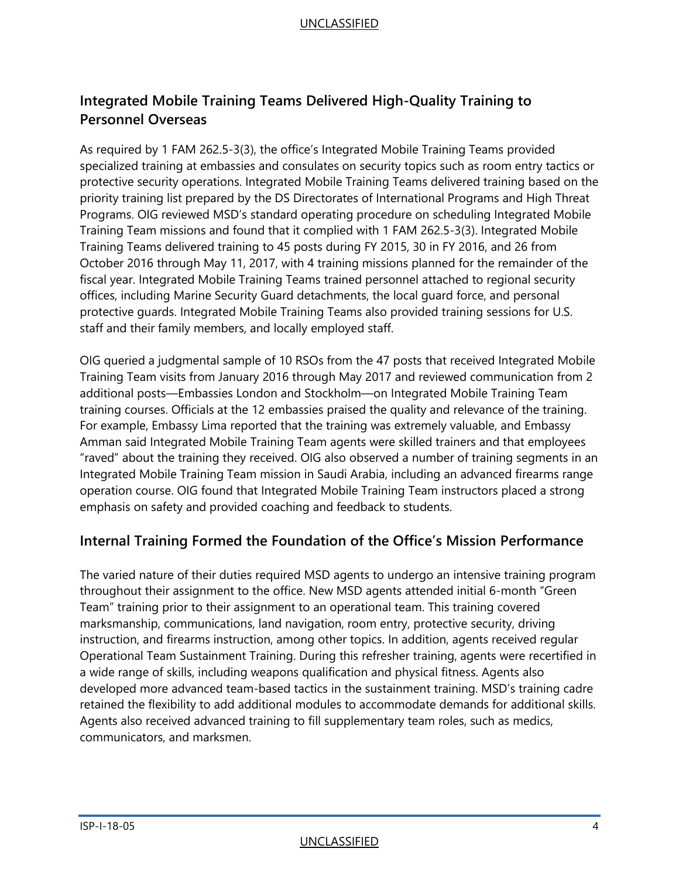#### <span id="page-6-0"></span>**Integrated Mobile Training Teams Delivered High-Quality Training to Personnel Overseas**

As required by 1 FAM 262.5-3(3), the office's Integrated Mobile Training Teams provided specialized training at embassies and consulates on security topics such as room entry tactics or protective security operations. Integrated Mobile Training Teams delivered training based on the priority training list prepared by the DS Directorates of International Programs and High Threat Programs. OIG reviewed MSD's standard operating procedure on scheduling Integrated Mobile Training Team missions and found that it complied with 1 FAM 262.5-3(3). Integrated Mobile Training Teams delivered training to 45 posts during FY 2015, 30 in FY 2016, and 26 from October 2016 through May 11, 2017, with 4 training missions planned for the remainder of the fiscal year. Integrated Mobile Training Teams trained personnel attached to regional security offices, including Marine Security Guard detachments, the local guard force, and personal protective guards. Integrated Mobile Training Teams also provided training sessions for U.S. staff and their family members, and locally employed staff.

OIG queried a judgmental sample of 10 RSOs from the 47 posts that received Integrated Mobile Training Team visits from January 2016 through May 2017 and reviewed communication from 2 additional posts—Embassies London and Stockholm—on Integrated Mobile Training Team training courses. Officials at the 12 embassies praised the quality and relevance of the training. For example, Embassy Lima reported that the training was extremely valuable, and Embassy Amman said Integrated Mobile Training Team agents were skilled trainers and that employees "raved" about the training they received. OIG also observed a number of training segments in an Integrated Mobile Training Team mission in Saudi Arabia, including an advanced firearms range operation course. OIG found that Integrated Mobile Training Team instructors placed a strong emphasis on safety and provided coaching and feedback to students.

#### **Internal Training Formed the Foundation of the Office's Mission Performance**

The varied nature of their duties required MSD agents to undergo an intensive training program throughout their assignment to the office. New MSD agents attended initial 6-month "Green Team" training prior to their assignment to an operational team. This training covered marksmanship, communications, land navigation, room entry, protective security, driving instruction, and firearms instruction, among other topics. In addition, agents received regular Operational Team Sustainment Training. During this refresher training, agents were recertified in a wide range of skills, including weapons qualification and physical fitness. Agents also developed more advanced team-based tactics in the sustainment training. MSD's training cadre retained the flexibility to add additional modules to accommodate demands for additional skills. Agents also received advanced training to fill supplementary team roles, such as medics, communicators, and marksmen.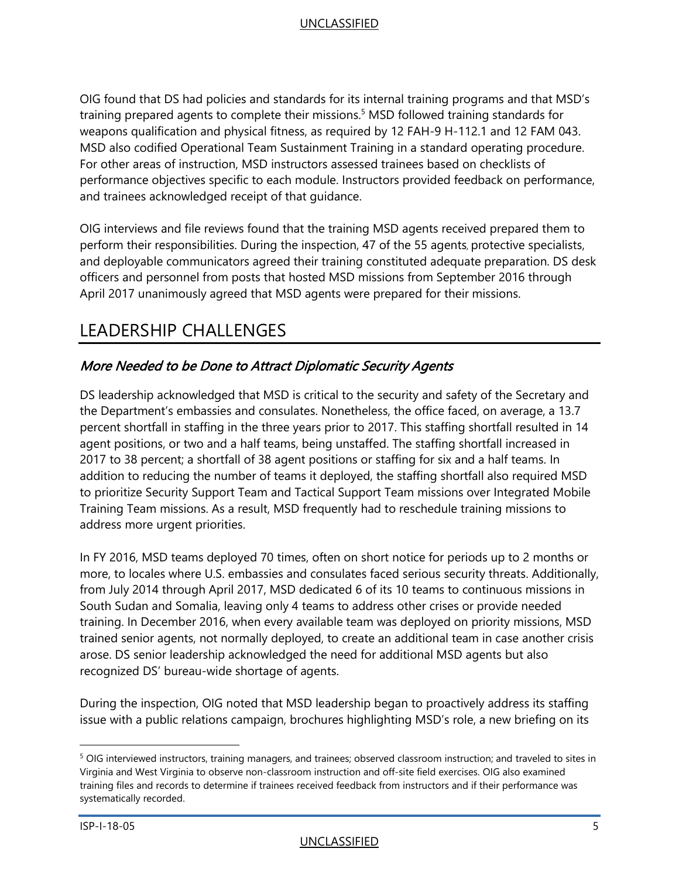OIG found that DS had policies and standards for its internal training programs and that MSD's training prepared agents to complete their missions.<sup>5</sup> MSD followed training standards for weapons qualification and physical fitness, as required by 12 FAH-9 H-112.1 and 12 FAM 043. MSD also codified Operational Team Sustainment Training in a standard operating procedure. For other areas of instruction, MSD instructors assessed trainees based on checklists of performance objectives specific to each module. Instructors provided feedback on performance, and trainees acknowledged receipt of that guidance.

OIG interviews and file reviews found that the training MSD agents received prepared them to perform their responsibilities. During the inspection, 47 of the 55 agents, protective specialists, and deployable communicators agreed their training constituted adequate preparation. DS desk officers and personnel from posts that hosted MSD missions from September 2016 through April 2017 unanimously agreed that MSD agents were prepared for their missions.

### <span id="page-7-0"></span>LEADERSHIP CHALLENGES

#### More Needed to be Done to Attract Diplomatic Security Agents

DS leadership acknowledged that MSD is critical to the security and safety of the Secretary and the Department's embassies and consulates. Nonetheless, the office faced, on average, a 13.7 percent shortfall in staffing in the three years prior to 2017. This staffing shortfall resulted in 14 agent positions, or two and a half teams, being unstaffed. The staffing shortfall increased in 2017 to 38 percent; a shortfall of 38 agent positions or staffing for six and a half teams. In addition to reducing the number of teams it deployed, the staffing shortfall also required MSD to prioritize Security Support Team and Tactical Support Team missions over Integrated Mobile Training Team missions. As a result, MSD frequently had to reschedule training missions to address more urgent priorities.

In FY 2016, MSD teams deployed 70 times, often on short notice for periods up to 2 months or more, to locales where U.S. embassies and consulates faced serious security threats. Additionally, from July 2014 through April 2017, MSD dedicated 6 of its 10 teams to continuous missions in South Sudan and Somalia, leaving only 4 teams to address other crises or provide needed training. In December 2016, when every available team was deployed on priority missions, MSD trained senior agents, not normally deployed, to create an additional team in case another crisis arose. DS senior leadership acknowledged the need for additional MSD agents but also recognized DS' bureau-wide shortage of agents.

During the inspection, OIG noted that MSD leadership began to proactively address its staffing issue with a public relations campaign, brochures highlighting MSD's role, a new briefing on its

<sup>&</sup>lt;sup>5</sup> OIG interviewed instructors, training managers, and trainees; observed classroom instruction; and traveled to sites in Virginia and West Virginia to observe non-classroom instruction and off-site field exercises. OIG also examined training files and records to determine if trainees received feedback from instructors and if their performance was systematically recorded.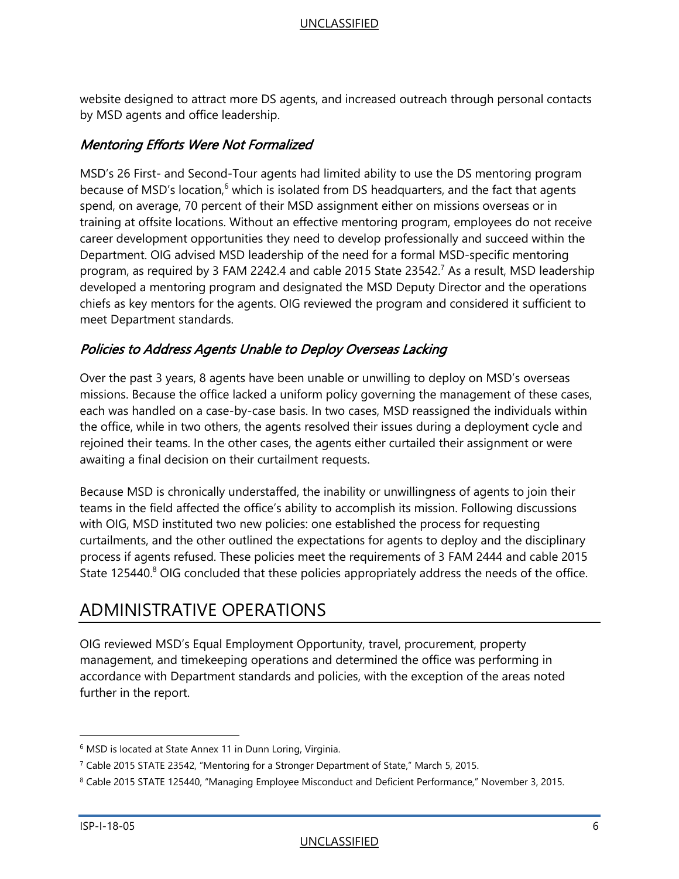website designed to attract more DS agents, and increased outreach through personal contacts by MSD agents and office leadership.

#### Mentoring Efforts Were Not Formalized

MSD's 26 First- and Second-Tour agents had limited ability to use the DS mentoring program because of MSD's location,<sup>6</sup> which is isolated from DS headquarters, and the fact that agents spend, on average, 70 percent of their MSD assignment either on missions overseas or in training at offsite locations. Without an effective mentoring program, employees do not receive career development opportunities they need to develop professionally and succeed within the Department. OIG advised MSD leadership of the need for a formal MSD-specific mentoring program, as required by 3 FAM 2242.4 and cable 2015 State 23542.<sup>7</sup> As a result, MSD leadership developed a mentoring program and designated the MSD Deputy Director and the operations chiefs as key mentors for the agents. OIG reviewed the program and considered it sufficient to meet Department standards.

#### Policies to Address Agents Unable to Deploy Overseas Lacking

Over the past 3 years, 8 agents have been unable or unwilling to deploy on MSD's overseas missions. Because the office lacked a uniform policy governing the management of these cases, each was handled on a case-by-case basis. In two cases, MSD reassigned the individuals within the office, while in two others, the agents resolved their issues during a deployment cycle and rejoined their teams. In the other cases, the agents either curtailed their assignment or were awaiting a final decision on their curtailment requests.

Because MSD is chronically understaffed, the inability or unwillingness of agents to join their teams in the field affected the office's ability to accomplish its mission. Following discussions with OIG, MSD instituted two new policies: one established the process for requesting curtailments, and the other outlined the expectations for agents to deploy and the disciplinary process if agents refused. These policies meet the requirements of 3 FAM 2444 and cable 2015 State 125440.<sup>8</sup> OIG concluded that these policies appropriately address the needs of the office.

### <span id="page-8-0"></span>ADMINISTRATIVE OPERATIONS

OIG reviewed MSD's Equal Employment Opportunity, travel, procurement, property management, and timekeeping operations and determined the office was performing in accordance with Department standards and policies, with the exception of the areas noted further in the report.

<sup>&</sup>lt;sup>6</sup> MSD is located at State Annex 11 in Dunn Loring, Virginia.

<sup>7</sup> Cable 2015 STATE 23542, "Mentoring for a Stronger Department of State," March 5, 2015.

<sup>8</sup> Cable 2015 STATE 125440, "Managing Employee Misconduct and Deficient Performance," November 3, 2015.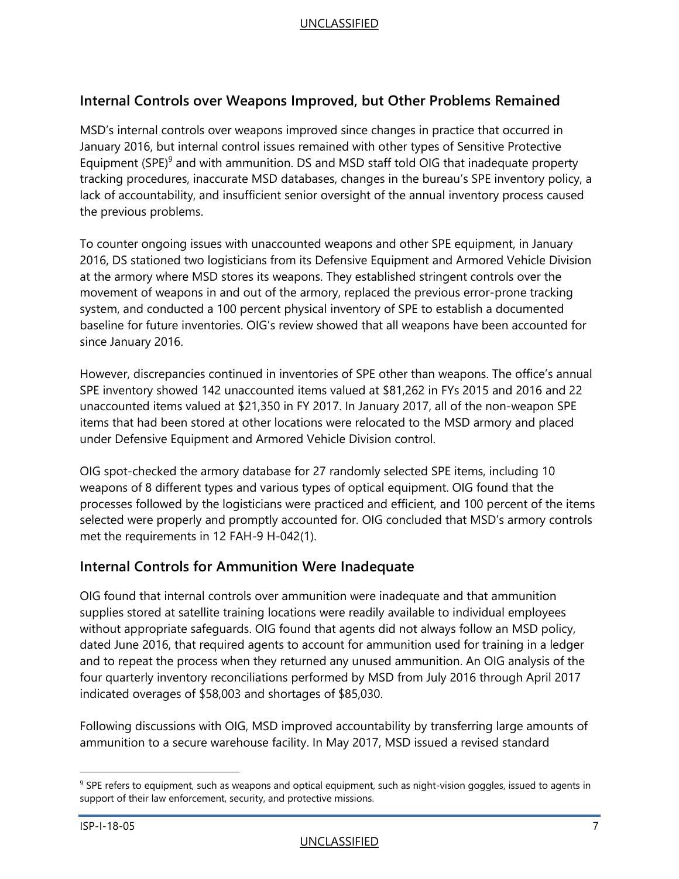#### <span id="page-9-0"></span>**Internal Controls over Weapons Improved, but Other Problems Remained**

MSD's internal controls over weapons improved since changes in practice that occurred in January 2016, but internal control issues remained with other types of Sensitive Protective Equipment (SPE) $9$  and with ammunition. DS and MSD staff told OIG that inadequate property tracking procedures, inaccurate MSD databases, changes in the bureau's SPE inventory policy, a lack of accountability, and insufficient senior oversight of the annual inventory process caused the previous problems.

To counter ongoing issues with unaccounted weapons and other SPE equipment, in January 2016, DS stationed two logisticians from its Defensive Equipment and Armored Vehicle Division at the armory where MSD stores its weapons. They established stringent controls over the movement of weapons in and out of the armory, replaced the previous error-prone tracking system, and conducted a 100 percent physical inventory of SPE to establish a documented baseline for future inventories. OIG's review showed that all weapons have been accounted for since January 2016.

However, discrepancies continued in inventories of SPE other than weapons. The office's annual SPE inventory showed 142 unaccounted items valued at \$81,262 in FYs 2015 and 2016 and 22 unaccounted items valued at \$21,350 in FY 2017. In January 2017, all of the non-weapon SPE items that had been stored at other locations were relocated to the MSD armory and placed under Defensive Equipment and Armored Vehicle Division control.

OIG spot-checked the armory database for 27 randomly selected SPE items, including 10 weapons of 8 different types and various types of optical equipment. OIG found that the processes followed by the logisticians were practiced and efficient, and 100 percent of the items selected were properly and promptly accounted for. OIG concluded that MSD's armory controls met the requirements in 12 FAH-9 H-042(1).

#### <span id="page-9-1"></span>**Internal Controls for Ammunition Were Inadequate**

OIG found that internal controls over ammunition were inadequate and that ammunition supplies stored at satellite training locations were readily available to individual employees without appropriate safeguards. OIG found that agents did not always follow an MSD policy, dated June 2016, that required agents to account for ammunition used for training in a ledger and to repeat the process when they returned any unused ammunition. An OIG analysis of the four quarterly inventory reconciliations performed by MSD from July 2016 through April 2017 indicated overages of \$58,003 and shortages of \$85,030.

Following discussions with OIG, MSD improved accountability by transferring large amounts of ammunition to a secure warehouse facility. In May 2017, MSD issued a revised standard

<sup>&</sup>lt;sup>9</sup> SPE refers to equipment, such as weapons and optical equipment, such as night-vision goggles, issued to agents in support of their law enforcement, security, and protective missions.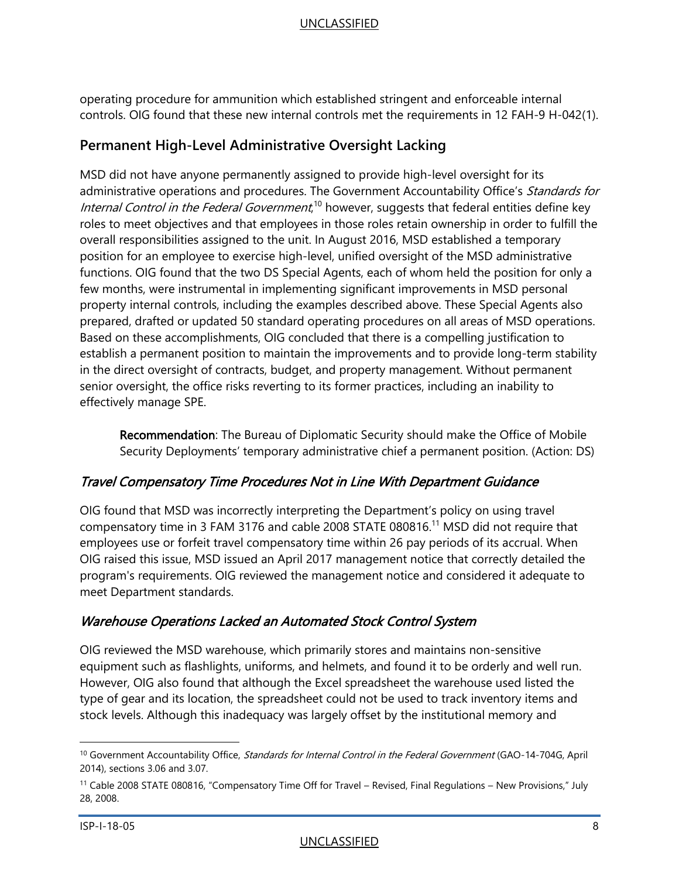operating procedure for ammunition which established stringent and enforceable internal controls. OIG found that these new internal controls met the requirements in 12 FAH-9 H-042(1).

#### <span id="page-10-0"></span>**Permanent High-Level Administrative Oversight Lacking**

MSD did not have anyone permanently assigned to provide high-level oversight for its administrative operations and procedures. The Government Accountability Office's Standards for Internal Control in the Federal Government,<sup>10</sup> however, suggests that federal entities define key roles to meet objectives and that employees in those roles retain ownership in order to fulfill the overall responsibilities assigned to the unit. In August 2016, MSD established a temporary position for an employee to exercise high-level, unified oversight of the MSD administrative functions. OIG found that the two DS Special Agents, each of whom held the position for only a few months, were instrumental in implementing significant improvements in MSD personal property internal controls, including the examples described above. These Special Agents also prepared, drafted or updated 50 standard operating procedures on all areas of MSD operations. Based on these accomplishments, OIG concluded that there is a compelling justification to establish a permanent position to maintain the improvements and to provide long-term stability in the direct oversight of contracts, budget, and property management. Without permanent senior oversight, the office risks reverting to its former practices, including an inability to effectively manage SPE.

Recommendation: The Bureau of Diplomatic Security should make the Office of Mobile Security Deployments' temporary administrative chief a permanent position. (Action: DS)

#### Travel Compensatory Time Procedures Not in Line With Department Guidance

OIG found that MSD was incorrectly interpreting the Department's policy on using travel compensatory time in 3 FAM 3176 and cable 2008 STATE 080816.<sup>11</sup> MSD did not require that employees use or forfeit travel compensatory time within 26 pay periods of its accrual. When OIG raised this issue, MSD issued an April 2017 management notice that correctly detailed the program's requirements. OIG reviewed the management notice and considered it adequate to meet Department standards.

#### Warehouse Operations Lacked an Automated Stock Control System

OIG reviewed the MSD warehouse, which primarily stores and maintains non-sensitive equipment such as flashlights, uniforms, and helmets, and found it to be orderly and well run. However, OIG also found that although the Excel spreadsheet the warehouse used listed the type of gear and its location, the spreadsheet could not be used to track inventory items and stock levels. Although this inadequacy was largely offset by the institutional memory and

<sup>&</sup>lt;sup>10</sup> Government Accountability Office, Standards for Internal Control in the Federal Government (GAO-14-704G, April 2014), sections 3.06 and 3.07.

<sup>11</sup> Cable 2008 STATE 080816, "Compensatory Time Off for Travel – Revised, Final Regulations – New Provisions," July 28, 2008.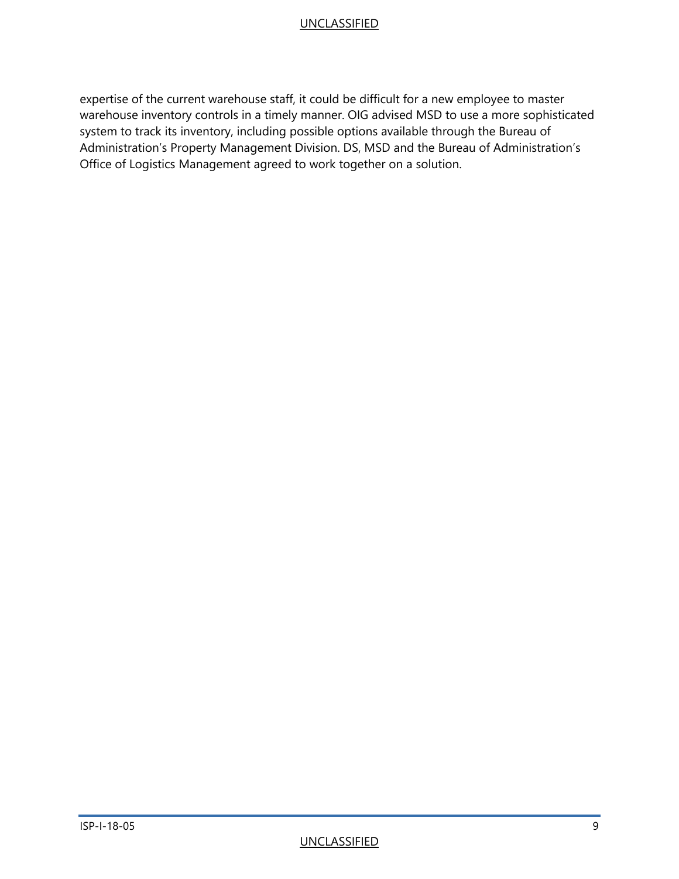expertise of the current warehouse staff, it could be difficult for a new employee to master warehouse inventory controls in a timely manner. OIG advised MSD to use a more sophisticated system to track its inventory, including possible options available through the Bureau of Administration's Property Management Division. DS, MSD and the Bureau of Administration's Office of Logistics Management agreed to work together on a solution.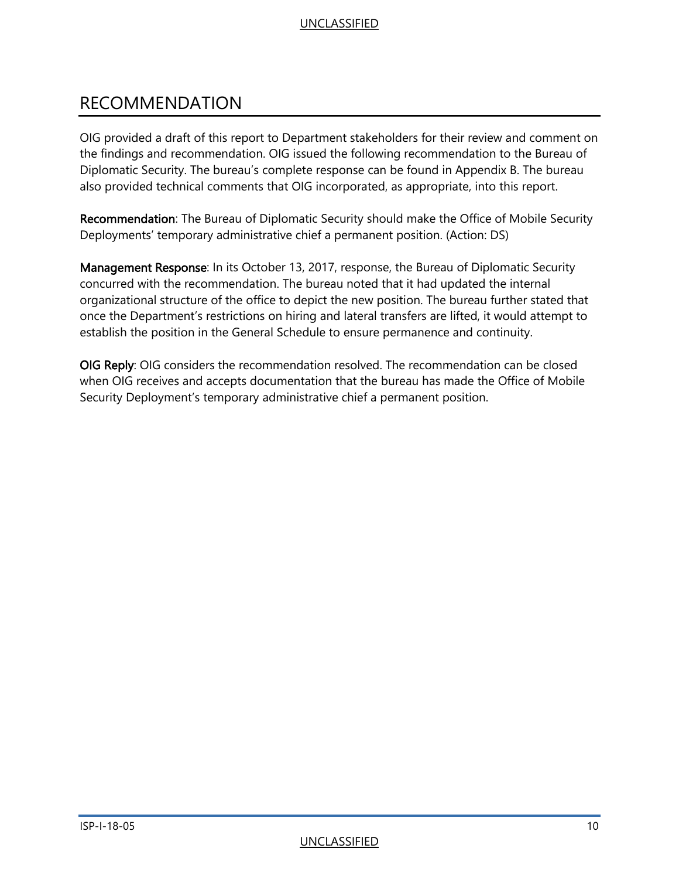### <span id="page-12-0"></span>RECOMMENDATION

OIG provided a draft of this report to Department stakeholders for their review and comment on the findings and recommendation. OIG issued the following recommendation to the Bureau of Diplomatic Security. The bureau's complete response can be found in Appendix B. The bureau also provided technical comments that OIG incorporated, as appropriate, into this report.

Recommendation: The Bureau of Diplomatic Security should make the Office of Mobile Security Deployments' temporary administrative chief a permanent position. (Action: DS)

Management Response: In its October 13, 2017, response, the Bureau of Diplomatic Security concurred with the recommendation. The bureau noted that it had updated the internal organizational structure of the office to depict the new position. The bureau further stated that once the Department's restrictions on hiring and lateral transfers are lifted, it would attempt to establish the position in the General Schedule to ensure permanence and continuity.

OIG Reply: OIG considers the recommendation resolved. The recommendation can be closed when OIG receives and accepts documentation that the bureau has made the Office of Mobile Security Deployment's temporary administrative chief a permanent position.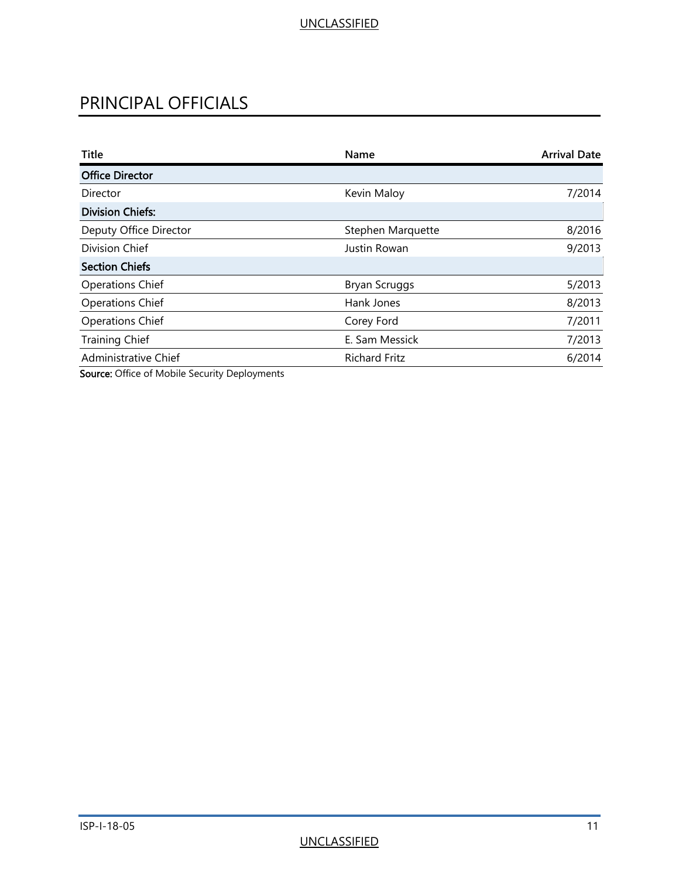### <span id="page-13-0"></span>PRINCIPAL OFFICIALS

| <b>Title</b>                                   | Name                 | <b>Arrival Date</b> |
|------------------------------------------------|----------------------|---------------------|
| <b>Office Director</b>                         |                      |                     |
| Director                                       | Kevin Maloy          | 7/2014              |
| <b>Division Chiefs:</b>                        |                      |                     |
| Deputy Office Director                         | Stephen Marquette    | 8/2016              |
| Division Chief                                 | Justin Rowan         | 9/2013              |
| <b>Section Chiefs</b>                          |                      |                     |
| <b>Operations Chief</b>                        | <b>Bryan Scruggs</b> | 5/2013              |
| <b>Operations Chief</b>                        | Hank Jones           | 8/2013              |
| <b>Operations Chief</b>                        | Corey Ford           | 7/2011              |
| <b>Training Chief</b>                          | E. Sam Messick       | 7/2013              |
| Administrative Chief                           | <b>Richard Fritz</b> | 6/2014              |
| Course Office of Makile Consider Devisions and |                      |                     |

Source: Office of Mobile Security Deployments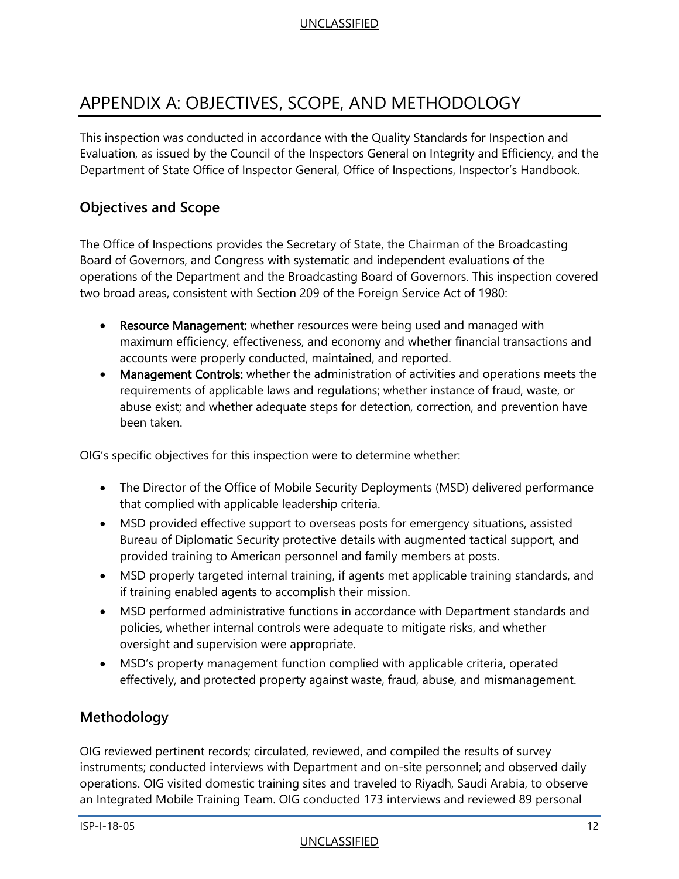### <span id="page-14-0"></span>APPENDIX A: OBJECTIVES, SCOPE, AND METHODOLOGY

This inspection was conducted in accordance with the Quality Standards for Inspection and Evaluation, as issued by the Council of the Inspectors General on Integrity and Efficiency, and the Department of State Office of Inspector General, Office of Inspections, Inspector's Handbook.

#### **Objectives and Scope**

The Office of Inspections provides the Secretary of State, the Chairman of the Broadcasting Board of Governors, and Congress with systematic and independent evaluations of the operations of the Department and the Broadcasting Board of Governors. This inspection covered two broad areas, consistent with Section 209 of the Foreign Service Act of 1980:

- $\bullet$ Resource Management: whether resources were being used and managed with maximum efficiency, effectiveness, and economy and whether financial transactions and accounts were properly conducted, maintained, and reported.
- $\bullet$ Management Controls: whether the administration of activities and operations meets the requirements of applicable laws and regulations; whether instance of fraud, waste, or abuse exist; and whether adequate steps for detection, correction, and prevention have been taken.

OIG's specific objectives for this inspection were to determine whether:

- The Director of the Office of Mobile Security Deployments (MSD) delivered performance t hat complied with applicable leadership criteria.
- MSD provided effective support to overseas posts for emergency situations, assisted Bureau of Diplomatic Security protective details with augmented tactical support, and provided training to American personnel and family members at posts.
- MSD properly targeted internal training, if agents met applicable training standards, and i f training enabled agents to accomplish their mission.
- MSD performed administrative functions in accordance with Department standards and policies, whether internal controls were adequate to mitigate risks, and whether oversight and supervision were appropriate.
- MSD's property management function complied with applicable criteria, operated effectively, and protected property against waste, fraud, abuse, and mismanagement.

#### **Methodology**

OIG reviewed pertinent records; circulated, reviewed, and compiled the results of survey instruments; conducted interviews with Department and on-site personnel; and observed daily operations. OIG visited domestic training sites and traveled to Riyadh, Saudi Arabia, to observe an Integrated Mobile Training Team. OIG conducted 173 interviews and reviewed 89 personal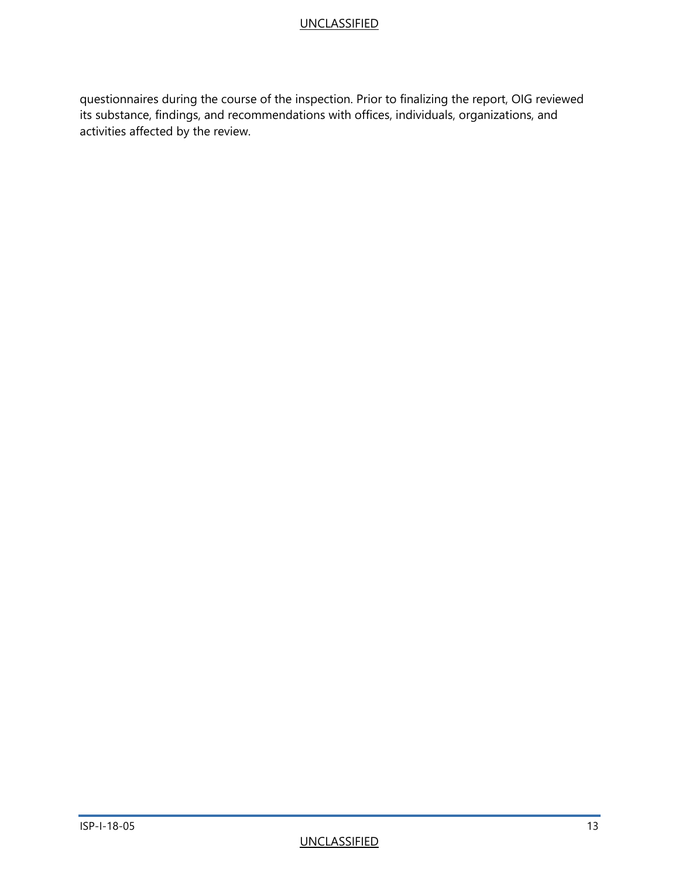questionnaires during the course of the inspection. Prior to finalizing the report, OIG reviewed its substance, findings, and recommendations with offices, individuals, organizations, and activities affected by the review.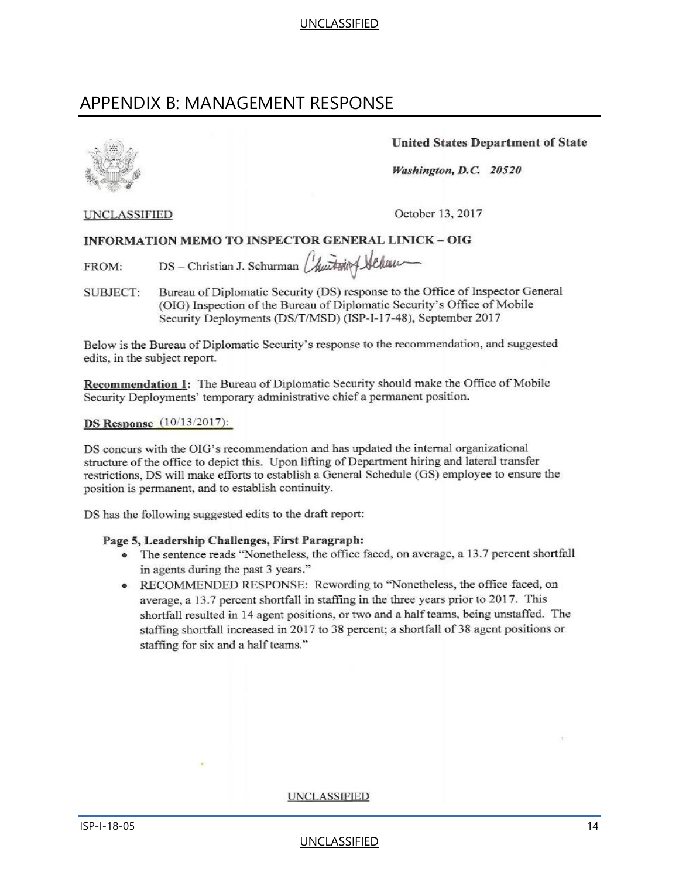### <span id="page-16-0"></span>APPENDIX B: MANAGEMENT RESPONSE

**United States Department of State** 

Washington, D.C. 20520

**UNCLASSIFIED** 

October 13, 2017

#### **INFORMATION MEMO TO INSPECTOR GENERAL LINICK - OIG**

DS - Christian J. Schurman Churchesing Sechung FROM:

Bureau of Diplomatic Security (DS) response to the Office of Inspector General **SUBJECT:** (OIG) Inspection of the Bureau of Diplomatic Security's Office of Mobile Security Deployments (DS/T/MSD) (ISP-I-17-48), September 2017

Below is the Bureau of Diplomatic Security's response to the recommendation, and suggested edits, in the subject report.

Recommendation 1: The Bureau of Diplomatic Security should make the Office of Mobile Security Deployments' temporary administrative chief a permanent position.

#### **DS Response**  $(10/13/2017)$ :

DS concurs with the OIG's recommendation and has updated the internal organizational structure of the office to depict this. Upon lifting of Department hiring and lateral transfer restrictions, DS will make efforts to establish a General Schedule (GS) employee to ensure the position is permanent, and to establish continuity.

DS has the following suggested edits to the draft report:

#### Page 5, Leadership Challenges, First Paragraph:

- The sentence reads "Nonetheless, the office faced, on average, a 13.7 percent shortfall in agents during the past 3 years."
- RECOMMENDED RESPONSE: Rewording to "Nonetheless, the office faced, on average, a 13.7 percent shortfall in staffing in the three years prior to 2017. This shortfall resulted in 14 agent positions, or two and a half teams, being unstaffed. The staffing shortfall increased in 2017 to 38 percent; a shortfall of 38 agent positions or staffing for six and a half teams."

**UNCLASSIFIED** 

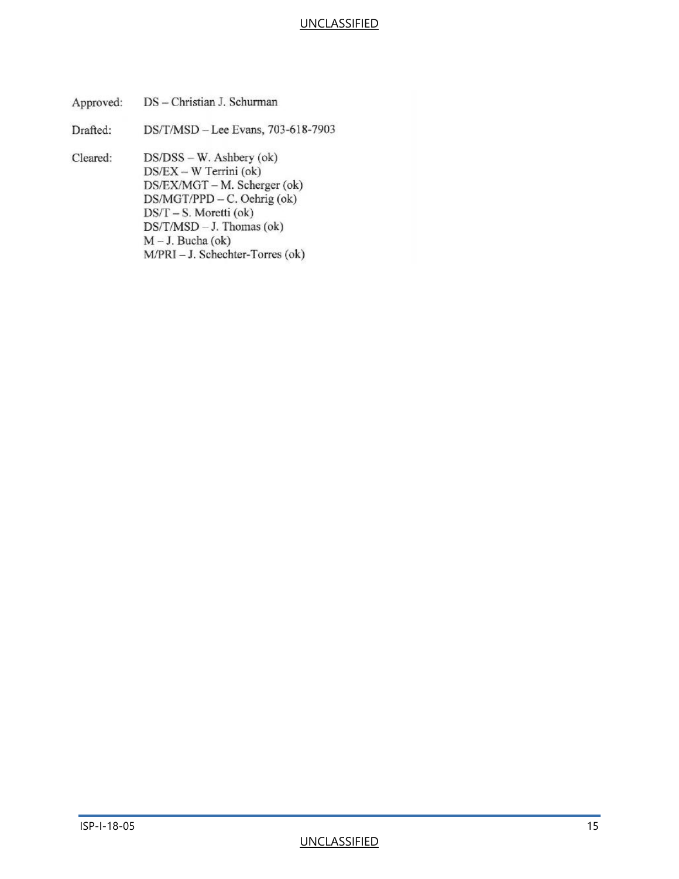| Approved: | DS – Christian J. Schurman                                                                                                                                                                                                                      |
|-----------|-------------------------------------------------------------------------------------------------------------------------------------------------------------------------------------------------------------------------------------------------|
| Drafted:  | DS/T/MSD - Lee Evans, 703-618-7903                                                                                                                                                                                                              |
| Cleared:  | $DS/DSS - W$ . Ashbery (ok)<br>$DS/EX - W$ Terrini (ok)<br>DS/EX/MGT - M. Scherger (ok)<br>DS/MGT/PPD - C. Oehrig (ok)<br>$DS/T - S$ . Moretti (ok)<br>$DS/T/MSD - J$ . Thomas (ok)<br>$M - J$ . Bucha (ok)<br>M/PRI - J. Schechter-Torres (ok) |
|           |                                                                                                                                                                                                                                                 |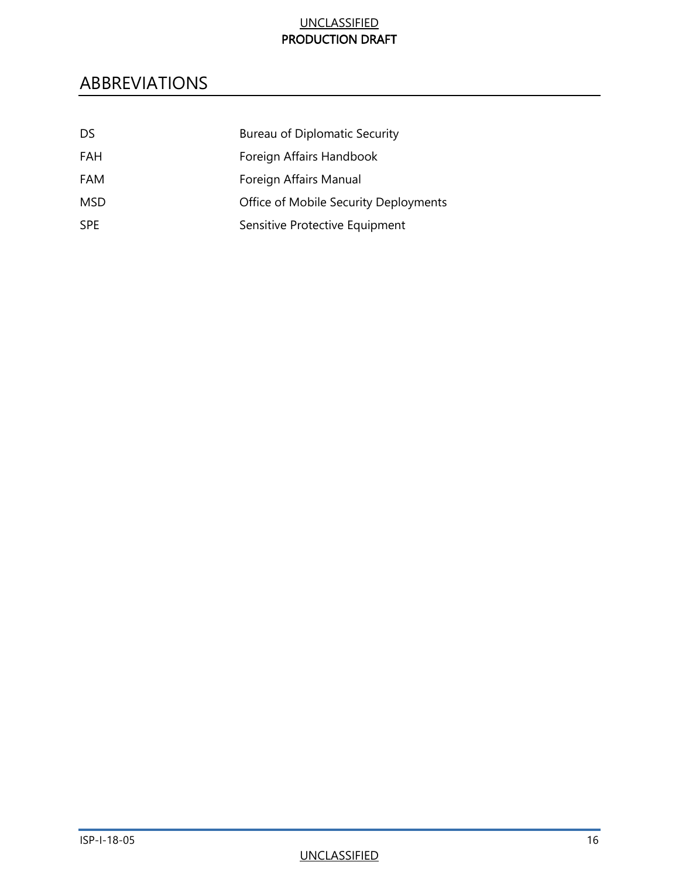#### UNCLASSIFIED PRODUCTION DRAFT

### <span id="page-18-0"></span>ABBREVIATIONS

| DS.        | Bureau of Diplomatic Security         |
|------------|---------------------------------------|
| <b>FAH</b> | Foreign Affairs Handbook              |
| FAM        | Foreign Affairs Manual                |
| <b>MSD</b> | Office of Mobile Security Deployments |
| <b>SPE</b> | Sensitive Protective Equipment        |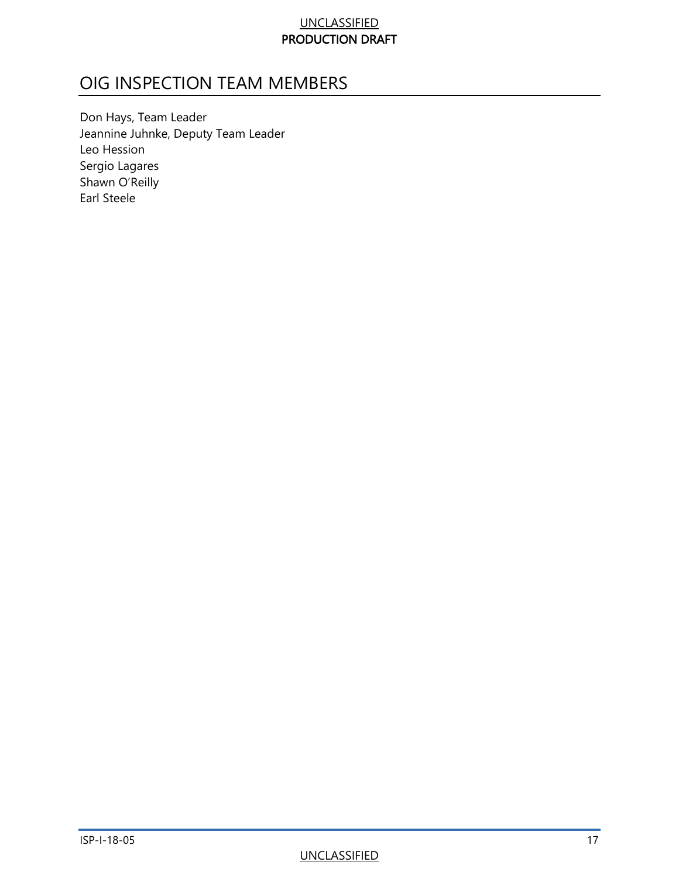#### UNCLASSIFIED PRODUCTION DRAFT

### <span id="page-19-0"></span>OIG INSPECTION TEAM MEMBERS

Don Hays, Team Leader Jeannine Juhnke, Deputy Team Leader Leo Hession Sergio Lagares Shawn O'Reilly Earl Steele